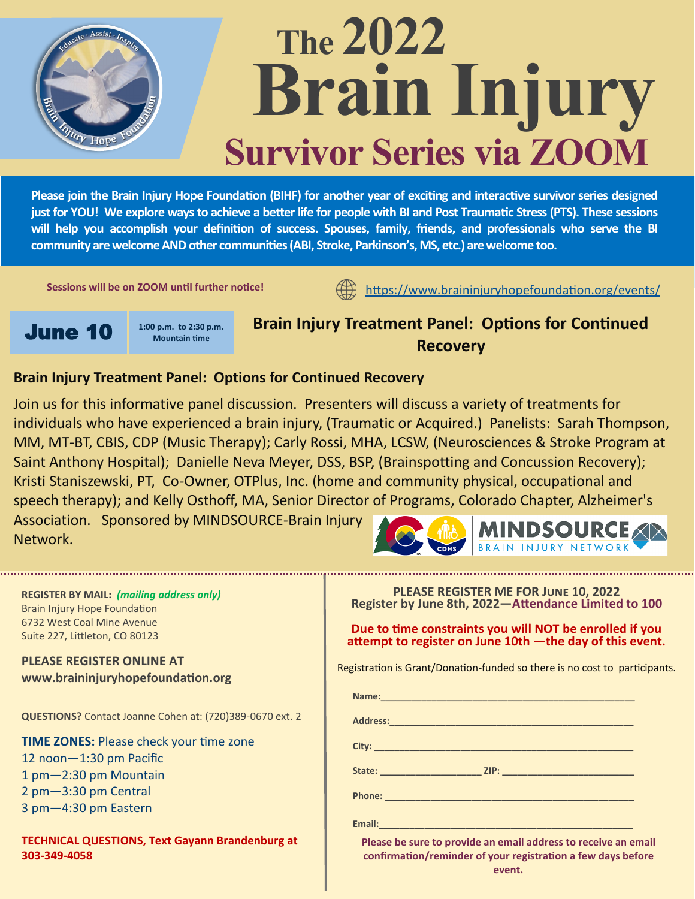

# **The 2022 Brain Injury Survivor Series via ZOOM**

**Please join the Brain Injury Hope Foundation (BIHF) for another year of exciting and interactive survivor series designed just for YOU! We explore ways to achieve a better life for people with BI and Post Traumatic Stress (PTS). These sessions will help you accomplish your definition of success. Spouses, family, friends, and professionals who serve the BI community are welcome AND other communities (ABI, Stroke, Parkinson's, MS, etc.) are welcome too.** 

**Sessions will be on ZOOM until further notice!** 

<https://www.braininjuryhopefoundation.org/events/>



**Brain Injury Treatment Panel: Options for Continued Recovery**

## **Brain Injury Treatment Panel: Options for Continued Recovery**

Join us for this informative panel discussion. Presenters will discuss a variety of treatments for individuals who have experienced a brain injury, (Traumatic or Acquired.) Panelists: Sarah Thompson, MM, MT-BT, CBIS, CDP (Music Therapy); Carly Rossi, MHA, LCSW, (Neurosciences & Stroke Program at Saint Anthony Hospital); Danielle Neva Meyer, DSS, BSP, (Brainspotting and Concussion Recovery); Kristi Staniszewski, PT, Co-Owner, OTPlus, Inc. (home and community physical, occupational and speech therapy); and Kelly Osthoff, MA, Senior Director of Programs, Colorado Chapter, Alzheimer's Association. Sponsored by MINDSOURCE-Brain Injury **MINDSOURCE** Network.



| <b>REGISTER BY MAIL: (mailing address only)</b><br><b>Brain Injury Hope Foundation</b><br>6732 West Coal Mine Avenue<br>Suite 227, Littleton, CO 80123 | PLEASE REGISTER ME FOR JUNE 10, 2022<br>Register by June 8th, 2022-Attendance Limited to 100<br>Due to time constraints you will NOT be enrolled if you<br>attempt to register on June 10th - the day of this event.                                     |
|--------------------------------------------------------------------------------------------------------------------------------------------------------|----------------------------------------------------------------------------------------------------------------------------------------------------------------------------------------------------------------------------------------------------------|
| <b>PLEASE REGISTER ONLINE AT</b><br>www.braininjuryhopefoundation.org                                                                                  | Registration is Grant/Donation-funded so there is no cost to participants.                                                                                                                                                                               |
|                                                                                                                                                        |                                                                                                                                                                                                                                                          |
| QUESTIONS? Contact Joanne Cohen at: (720)389-0670 ext. 2                                                                                               |                                                                                                                                                                                                                                                          |
| <b>TIME ZONES: Please check your time zone</b>                                                                                                         |                                                                                                                                                                                                                                                          |
| 12 noon-1:30 pm Pacific                                                                                                                                |                                                                                                                                                                                                                                                          |
| 1 pm-2:30 pm Mountain                                                                                                                                  |                                                                                                                                                                                                                                                          |
| 2 pm-3:30 pm Central                                                                                                                                   |                                                                                                                                                                                                                                                          |
| 3 pm-4:30 pm Eastern                                                                                                                                   |                                                                                                                                                                                                                                                          |
|                                                                                                                                                        | Email: Email: Email: Email: Email: Email: Email: Email: Email: Email: Email: Email: Email: Email: Email: Email: Email: Email: Email: Email: Email: Email: Email: Email: Email: Email: Email: Email: Email: Email: Email: Email                           |
| <b>TECHNICAL QUESTIONS, Text Gayann Brandenburg at</b><br>303-349-4058                                                                                 | Please be sure to provide an email address to receive an email<br>confirmation/reminder of your registration a few days before<br><b>Avent</b> Avenue and Avenue and Avenue and Avenue and Avenue and Avenue and Avenue and Avenue and Avenue and Avenue |